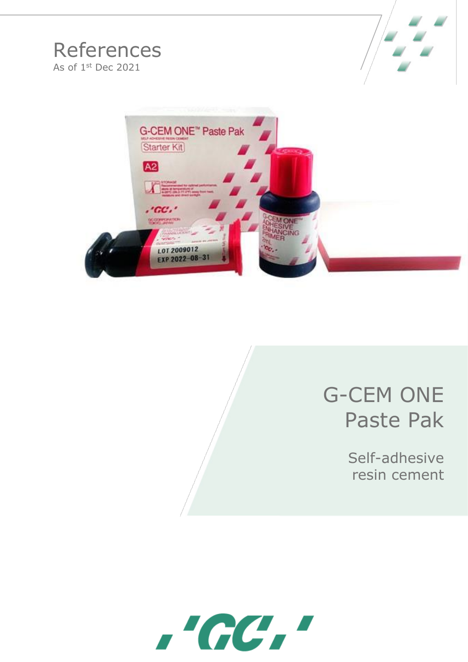# References As of 1<sup>st</sup> Dec 2021





# G-CEM ONE Paste Pak

Self-adhesive resin cement